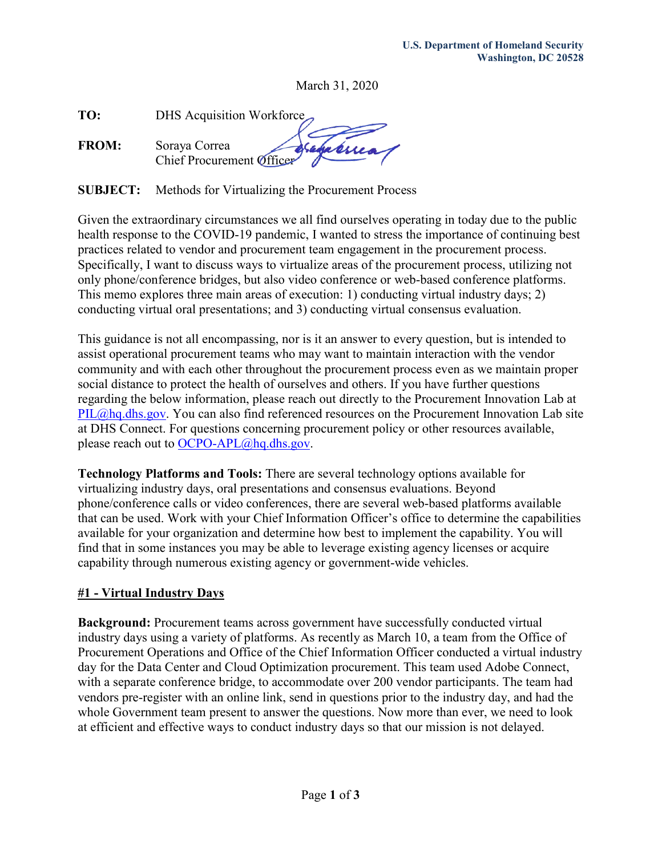March 31, 2020

**TO:** DHS Acquisition Workforce abric **FROM:** Soraya Correa Chief Procurement Officer

**SUBJECT:** Methods for Virtualizing the Procurement Process

Given the extraordinary circumstances we all find ourselves operating in today due to the public health response to the COVID-19 pandemic, I wanted to stress the importance of continuing best practices related to vendor and procurement team engagement in the procurement process. Specifically, I want to discuss ways to virtualize areas of the procurement process, utilizing not only phone/conference bridges, but also video conference or web-based conference platforms. This memo explores three main areas of execution: 1) conducting virtual industry days; 2) conducting virtual oral presentations; and 3) conducting virtual consensus evaluation.

This guidance is not all encompassing, nor is it an answer to every question, but is intended to assist operational procurement teams who may want to maintain interaction with the vendor community and with each other throughout the procurement process even as we maintain proper social distance to protect the health of ourselves and others. If you have further questions regarding the below information, please reach out directly to the Procurement Innovation Lab at [PIL@hq.dhs.gov.](mailto:PIL@hq.dhs.gov) You can also find referenced resources on the Procurement Innovation Lab site at DHS Connect. For questions concerning procurement policy or other resources available, please reach out to [OCPO-APL@hq.dhs.gov.](mailto:OCPO-APL@HQ.DHS.GOV)

**Technology Platforms and Tools:** There are several technology options available for virtualizing industry days, oral presentations and consensus evaluations. Beyond phone/conference calls or video conferences, there are several web-based platforms available that can be used. Work with your Chief Information Officer's office to determine the capabilities available for your organization and determine how best to implement the capability. You will find that in some instances you may be able to leverage existing agency licenses or acquire capability through numerous existing agency or government-wide vehicles.

## **#1 - Virtual Industry Days**

**Background:** Procurement teams across government have successfully conducted virtual industry days using a variety of platforms. As recently as March 10, a team from the Office of Procurement Operations and Office of the Chief Information Officer conducted a virtual industry day for the Data Center and Cloud Optimization procurement. This team used Adobe Connect, with a separate conference bridge, to accommodate over 200 vendor participants. The team had vendors pre-register with an online link, send in questions prior to the industry day, and had the whole Government team present to answer the questions. Now more than ever, we need to look at efficient and effective ways to conduct industry days so that our mission is not delayed.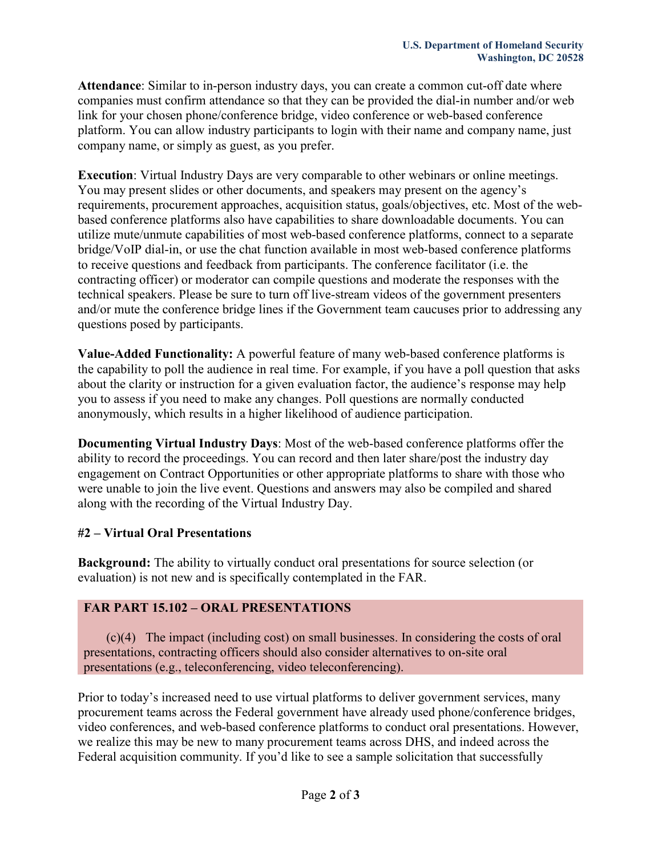**Attendance**: Similar to in-person industry days, you can create a common cut-off date where companies must confirm attendance so that they can be provided the dial-in number and/or web link for your chosen phone/conference bridge, video conference or web-based conference platform. You can allow industry participants to login with their name and company name, just company name, or simply as guest, as you prefer.

**Execution**: Virtual Industry Days are very comparable to other webinars or online meetings. You may present slides or other documents, and speakers may present on the agency's requirements, procurement approaches, acquisition status, goals/objectives, etc. Most of the webbased conference platforms also have capabilities to share downloadable documents. You can utilize mute/unmute capabilities of most web-based conference platforms, connect to a separate bridge/VoIP dial-in, or use the chat function available in most web-based conference platforms to receive questions and feedback from participants. The conference facilitator (i.e. the contracting officer) or moderator can compile questions and moderate the responses with the technical speakers. Please be sure to turn off live-stream videos of the government presenters and/or mute the conference bridge lines if the Government team caucuses prior to addressing any questions posed by participants.

**Value-Added Functionality:** A powerful feature of many web-based conference platforms is the capability to poll the audience in real time. For example, if you have a poll question that asks about the clarity or instruction for a given evaluation factor, the audience's response may help you to assess if you need to make any changes. Poll questions are normally conducted anonymously, which results in a higher likelihood of audience participation.

**Documenting Virtual Industry Days**: Most of the web-based conference platforms offer the ability to record the proceedings. You can record and then later share/post the industry day engagement on Contract Opportunities or other appropriate platforms to share with those who were unable to join the live event. Questions and answers may also be compiled and shared along with the recording of the Virtual Industry Day.

## **#2 – Virtual Oral Presentations**

**Background:** The ability to virtually conduct oral presentations for source selection (or evaluation) is not new and is specifically contemplated in the FAR.

## **FAR PART 15.102 – ORAL PRESENTATIONS**

 (c)(4) The impact (including cost) on small businesses. In considering the costs of oral presentations, contracting officers should also consider alternatives to on-site oral presentations (e.g., teleconferencing, video teleconferencing).

Prior to today's increased need to use virtual platforms to deliver government services, many procurement teams across the Federal government have already used phone/conference bridges, video conferences, and web-based conference platforms to conduct oral presentations. However, we realize this may be new to many procurement teams across DHS, and indeed across the Federal acquisition community. If you'd like to see a sample solicitation that successfully